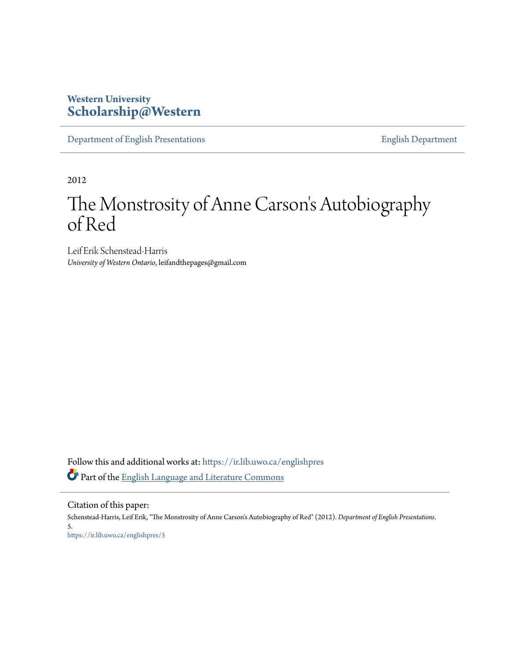## **Western University [Scholarship@Western](https://ir.lib.uwo.ca?utm_source=ir.lib.uwo.ca%2Fenglishpres%2F5&utm_medium=PDF&utm_campaign=PDFCoverPages)**

[Department of English Presentations](https://ir.lib.uwo.ca/englishpres?utm_source=ir.lib.uwo.ca%2Fenglishpres%2F5&utm_medium=PDF&utm_campaign=PDFCoverPages) [English Department](https://ir.lib.uwo.ca/english?utm_source=ir.lib.uwo.ca%2Fenglishpres%2F5&utm_medium=PDF&utm_campaign=PDFCoverPages)

2012

## The Monstrosity of Anne Carson 's Autobiography of Red

Leif Erik Schenstead-Harris *University of Western Ontario*, leifandthepages@gmail.com

Follow this and additional works at: [https://ir.lib.uwo.ca/englishpres](https://ir.lib.uwo.ca/englishpres?utm_source=ir.lib.uwo.ca%2Fenglishpres%2F5&utm_medium=PDF&utm_campaign=PDFCoverPages) Part of the **[English Language and Literature Commons](http://network.bepress.com/hgg/discipline/455?utm_source=ir.lib.uwo.ca%2Fenglishpres%2F5&utm_medium=PDF&utm_campaign=PDFCoverPages)** 

Citation of this paper:

Schenstead-Harris, Leif Erik, "The Monstrosity of Anne Carson's Autobiography of Red" (2012). *Department of English Presentations*. 5. [https://ir.lib.uwo.ca/englishpres/5](https://ir.lib.uwo.ca/englishpres/5?utm_source=ir.lib.uwo.ca%2Fenglishpres%2F5&utm_medium=PDF&utm_campaign=PDFCoverPages)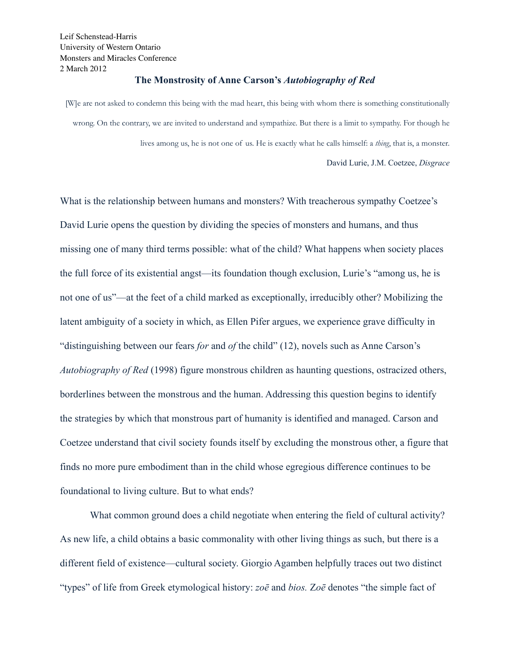## **The Monstrosity of Anne Carson's** *Autobiography of Red*

[W]e are not asked to condemn this being with the mad heart, this being with whom there is something constitutionally wrong. On the contrary, we are invited to understand and sympathize. But there is a limit to sympathy. For though he lives among us, he is not one of us. He is exactly what he calls himself: a *thing*, that is, a monster. David Lurie, J.M. Coetzee, *Disgrace*

What is the relationship between humans and monsters? With treacherous sympathy Coetzee's David Lurie opens the question by dividing the species of monsters and humans, and thus missing one of many third terms possible: what of the child? What happens when society places the full force of its existential angst—its foundation though exclusion, Lurie's "among us, he is not one of us"—at the feet of a child marked as exceptionally, irreducibly other? Mobilizing the latent ambiguity of a society in which, as Ellen Pifer argues, we experience grave difficulty in "distinguishing between our fears *for* and *of* the child" (12), novels such as Anne Carson's *Autobiography of Red* (1998) figure monstrous children as haunting questions, ostracized others, borderlines between the monstrous and the human. Addressing this question begins to identify the strategies by which that monstrous part of humanity is identified and managed. Carson and Coetzee understand that civil society founds itself by excluding the monstrous other, a figure that finds no more pure embodiment than in the child whose egregious difference continues to be foundational to living culture. But to what ends?

What common ground does a child negotiate when entering the field of cultural activity? As new life, a child obtains a basic commonality with other living things as such, but there is a different field of existence—cultural society. Giorgio Agamben helpfully traces out two distinct "types" of life from Greek etymological history: *zoē* and *bios.* Z*oē* denotes "the simple fact of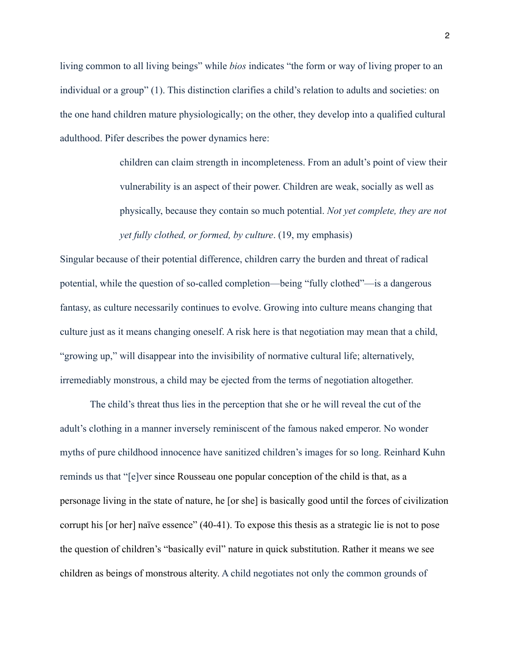living common to all living beings" while *bios* indicates "the form or way of living proper to an individual or a group" (1). This distinction clarifies a child's relation to adults and societies: on the one hand children mature physiologically; on the other, they develop into a qualified cultural adulthood. Pifer describes the power dynamics here:

> children can claim strength in incompleteness. From an adult's point of view their vulnerability is an aspect of their power. Children are weak, socially as well as physically, because they contain so much potential. *Not yet complete, they are not yet fully clothed, or formed, by culture*. (19, my emphasis)

Singular because of their potential difference, children carry the burden and threat of radical potential, while the question of so-called completion—being "fully clothed"—is a dangerous fantasy, as culture necessarily continues to evolve. Growing into culture means changing that culture just as it means changing oneself. A risk here is that negotiation may mean that a child, "growing up," will disappear into the invisibility of normative cultural life; alternatively, irremediably monstrous, a child may be ejected from the terms of negotiation altogether.

The child's threat thus lies in the perception that she or he will reveal the cut of the adult's clothing in a manner inversely reminiscent of the famous naked emperor. No wonder myths of pure childhood innocence have sanitized children's images for so long. Reinhard Kuhn reminds us that "[e]ver since Rousseau one popular conception of the child is that, as a personage living in the state of nature, he [or she] is basically good until the forces of civilization corrupt his [or her] naïve essence" (40-41). To expose this thesis as a strategic lie is not to pose the question of children's "basically evil" nature in quick substitution. Rather it means we see children as beings of monstrous alterity. A child negotiates not only the common grounds of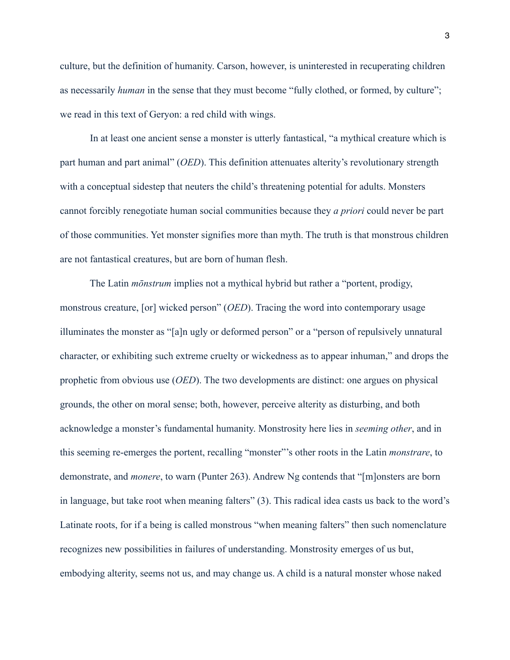culture, but the definition of humanity. Carson, however, is uninterested in recuperating children as necessarily *human* in the sense that they must become "fully clothed, or formed, by culture"; we read in this text of Geryon: a red child with wings.

In at least one ancient sense a monster is utterly fantastical, "a mythical creature which is part human and part animal" (*OED*). This definition attenuates alterity's revolutionary strength with a conceptual sidestep that neuters the child's threatening potential for adults. Monsters cannot forcibly renegotiate human social communities because they *a priori* could never be part of those communities. Yet monster signifies more than myth. The truth is that monstrous children are not fantastical creatures, but are born of human flesh.

 The Latin *mōnstrum* implies not a mythical hybrid but rather a "portent, prodigy, monstrous creature, [or] wicked person" (*OED*). Tracing the word into contemporary usage illuminates the monster as "[a]n ugly or deformed person" or a "person of repulsively unnatural character, or exhibiting such extreme cruelty or wickedness as to appear inhuman," and drops the prophetic from obvious use (*OED*). The two developments are distinct: one argues on physical grounds, the other on moral sense; both, however, perceive alterity as disturbing, and both acknowledge a monster's fundamental humanity. Monstrosity here lies in *seeming other*, and in this seeming re-emerges the portent, recalling "monster"'s other roots in the Latin *monstrare*, to demonstrate, and *monere*, to warn (Punter 263). Andrew Ng contends that "[m]onsters are born in language, but take root when meaning falters" (3). This radical idea casts us back to the word's Latinate roots, for if a being is called monstrous "when meaning falters" then such nomenclature recognizes new possibilities in failures of understanding. Monstrosity emerges of us but, embodying alterity, seems not us, and may change us. A child is a natural monster whose naked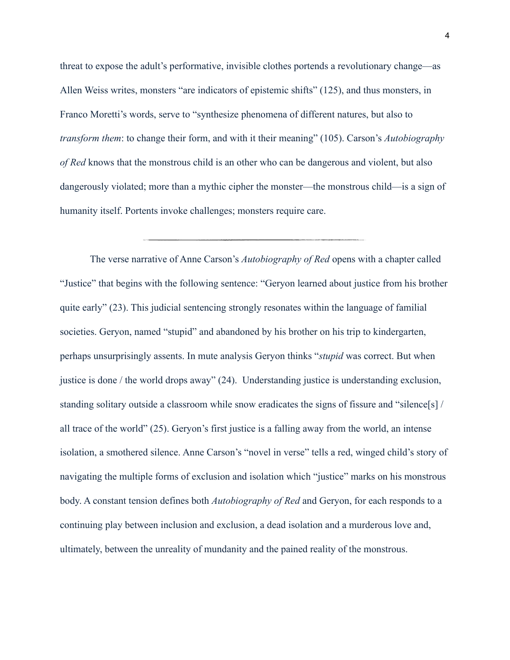threat to expose the adult's performative, invisible clothes portends a revolutionary change—as Allen Weiss writes, monsters "are indicators of epistemic shifts" (125), and thus monsters, in Franco Moretti's words, serve to "synthesize phenomena of different natures, but also to *transform them*: to change their form, and with it their meaning" (105). Carson's *Autobiography of Red* knows that the monstrous child is an other who can be dangerous and violent, but also dangerously violated; more than a mythic cipher the monster—the monstrous child—is a sign of humanity itself. Portents invoke challenges; monsters require care.

The verse narrative of Anne Carson's *Autobiography of Red* opens with a chapter called "Justice" that begins with the following sentence: "Geryon learned about justice from his brother quite early" (23). This judicial sentencing strongly resonates within the language of familial societies. Geryon, named "stupid" and abandoned by his brother on his trip to kindergarten, perhaps unsurprisingly assents. In mute analysis Geryon thinks "*stupid* was correct. But when justice is done / the world drops away" (24). Understanding justice is understanding exclusion, standing solitary outside a classroom while snow eradicates the signs of fissure and "silence[s] / all trace of the world" (25). Geryon's first justice is a falling away from the world, an intense isolation, a smothered silence. Anne Carson's "novel in verse" tells a red, winged child's story of navigating the multiple forms of exclusion and isolation which "justice" marks on his monstrous body. A constant tension defines both *Autobiography of Red* and Geryon, for each responds to a continuing play between inclusion and exclusion, a dead isolation and a murderous love and, ultimately, between the unreality of mundanity and the pained reality of the monstrous.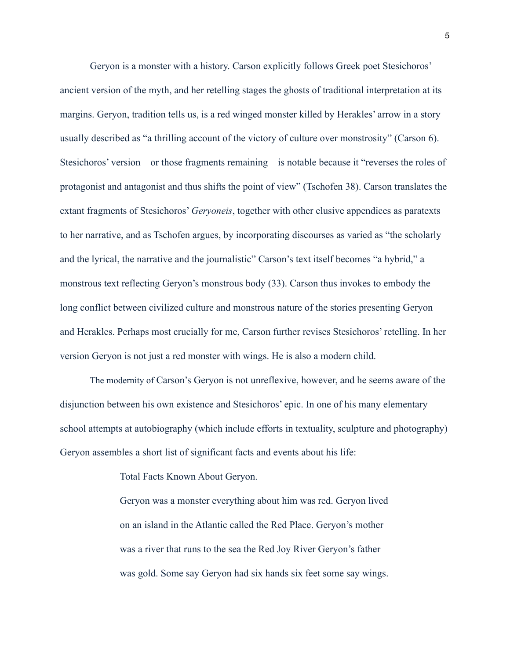Geryon is a monster with a history. Carson explicitly follows Greek poet Stesichoros' ancient version of the myth, and her retelling stages the ghosts of traditional interpretation at its margins. Geryon, tradition tells us, is a red winged monster killed by Herakles' arrow in a story usually described as "a thrilling account of the victory of culture over monstrosity" (Carson 6). Stesichoros' version—or those fragments remaining—is notable because it "reverses the roles of protagonist and antagonist and thus shifts the point of view" (Tschofen 38). Carson translates the extant fragments of Stesichoros' *Geryoneis*, together with other elusive appendices as paratexts to her narrative, and as Tschofen argues, by incorporating discourses as varied as "the scholarly and the lyrical, the narrative and the journalistic" Carson's text itself becomes "a hybrid," a monstrous text reflecting Geryon's monstrous body (33). Carson thus invokes to embody the long conflict between civilized culture and monstrous nature of the stories presenting Geryon and Herakles. Perhaps most crucially for me, Carson further revises Stesichoros' retelling. In her version Geryon is not just a red monster with wings. He is also a modern child.

The modernity of Carson's Geryon is not unreflexive, however, and he seems aware of the disjunction between his own existence and Stesichoros' epic. In one of his many elementary school attempts at autobiography (which include efforts in textuality, sculpture and photography) Geryon assembles a short list of significant facts and events about his life:

Total Facts Known About Geryon.

 Geryon was a monster everything about him was red. Geryon lived on an island in the Atlantic called the Red Place. Geryon's mother was a river that runs to the sea the Red Joy River Geryon's father was gold. Some say Geryon had six hands six feet some say wings.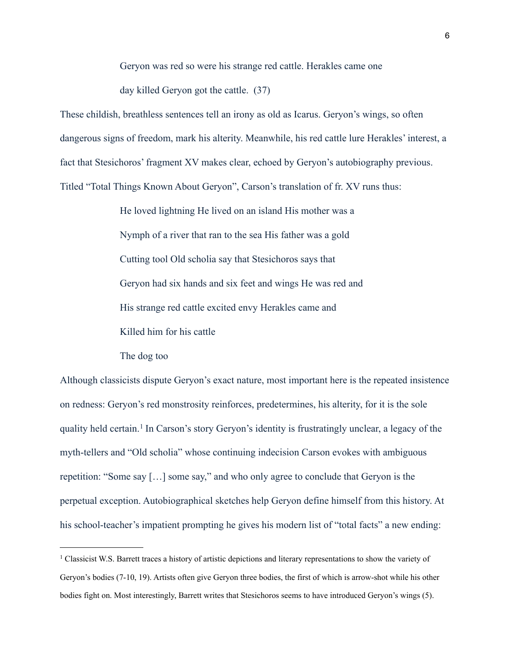Geryon was red so were his strange red cattle. Herakles came one

day killed Geryon got the cattle. (37)

These childish, breathless sentences tell an irony as old as Icarus. Geryon's wings, so often dangerous signs of freedom, mark his alterity. Meanwhile, his red cattle lure Herakles' interest, a fact that Stesichoros' fragment XV makes clear, echoed by Geryon's autobiography previous. Titled "Total Things Known About Geryon", Carson's translation of fr. XV runs thus:

> He loved lightning He lived on an island His mother was a Nymph of a river that ran to the sea His father was a gold Cutting tool Old scholia say that Stesichoros says that Geryon had six hands and six feet and wings He was red and His strange red cattle excited envy Herakles came and Killed him for his cattle

The dog too

Although classicists dispute Geryon's exact nature, most important here is the repeated insistence on redness: Geryon's red monstrosity reinforces, predetermines, his alterity, for it is the sole quality held certain.[1](#page-6-0) In Carson's story Geryon's identity is frustratingly unclear, a legacy of the myth-tellers and "Old scholia" whose continuing indecision Carson evokes with ambiguous repetition: "Some say […] some say," and who only agree to conclude that Geryon is the perpetual exception. Autobiographical sketches help Geryon define himself from this history. At his school-teacher's impatient prompting he gives his modern list of "total facts" a new ending:

<span id="page-6-0"></span><sup>1</sup> Classicist W.S. Barrett traces a history of artistic depictions and literary representations to show the variety of Geryon's bodies (7-10, 19). Artists often give Geryon three bodies, the first of which is arrow-shot while his other bodies fight on. Most interestingly, Barrett writes that Stesichoros seems to have introduced Geryon's wings (5).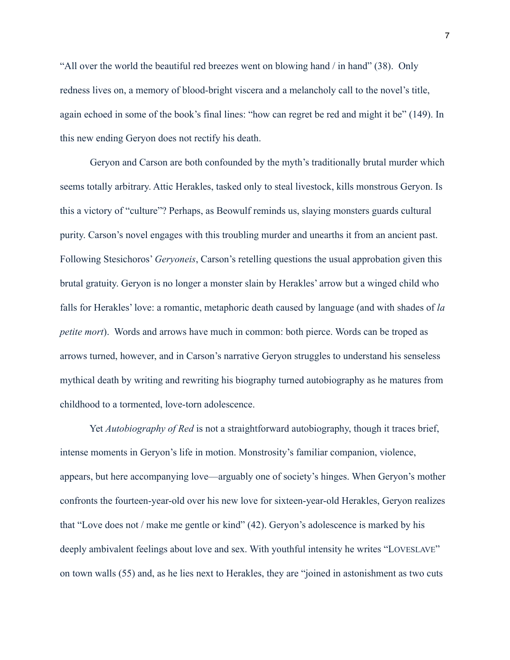"All over the world the beautiful red breezes went on blowing hand / in hand" (38). Only redness lives on, a memory of blood-bright viscera and a melancholy call to the novel's title, again echoed in some of the book's final lines: "how can regret be red and might it be" (149). In this new ending Geryon does not rectify his death.

Geryon and Carson are both confounded by the myth's traditionally brutal murder which seems totally arbitrary. Attic Herakles, tasked only to steal livestock, kills monstrous Geryon. Is this a victory of "culture"? Perhaps, as Beowulf reminds us, slaying monsters guards cultural purity. Carson's novel engages with this troubling murder and unearths it from an ancient past. Following Stesichoros' *Geryoneis*, Carson's retelling questions the usual approbation given this brutal gratuity. Geryon is no longer a monster slain by Herakles' arrow but a winged child who falls for Herakles' love: a romantic, metaphoric death caused by language (and with shades of *la petite mort*). Words and arrows have much in common: both pierce. Words can be troped as arrows turned, however, and in Carson's narrative Geryon struggles to understand his senseless mythical death by writing and rewriting his biography turned autobiography as he matures from childhood to a tormented, love-torn adolescence.

 Yet *Autobiography of Red* is not a straightforward autobiography, though it traces brief, intense moments in Geryon's life in motion. Monstrosity's familiar companion, violence, appears, but here accompanying love—arguably one of society's hinges. When Geryon's mother confronts the fourteen-year-old over his new love for sixteen-year-old Herakles, Geryon realizes that "Love does not / make me gentle or kind" (42). Geryon's adolescence is marked by his deeply ambivalent feelings about love and sex. With youthful intensity he writes "LOVESLAVE" on town walls (55) and, as he lies next to Herakles, they are "joined in astonishment as two cuts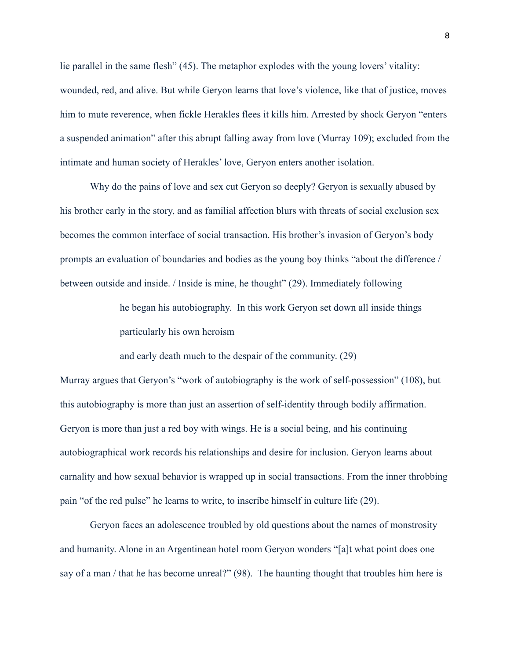lie parallel in the same flesh" (45). The metaphor explodes with the young lovers' vitality: wounded, red, and alive. But while Geryon learns that love's violence, like that of justice, moves him to mute reverence, when fickle Herakles flees it kills him. Arrested by shock Geryon "enters a suspended animation" after this abrupt falling away from love (Murray 109); excluded from the intimate and human society of Herakles' love, Geryon enters another isolation.

Why do the pains of love and sex cut Geryon so deeply? Geryon is sexually abused by his brother early in the story, and as familial affection blurs with threats of social exclusion sex becomes the common interface of social transaction. His brother's invasion of Geryon's body prompts an evaluation of boundaries and bodies as the young boy thinks "about the difference / between outside and inside. / Inside is mine, he thought" (29). Immediately following

> he began his autobiography. In this work Geryon set down all inside things particularly his own heroism

and early death much to the despair of the community. (29)

Murray argues that Geryon's "work of autobiography is the work of self-possession" (108), but this autobiography is more than just an assertion of self-identity through bodily affirmation. Geryon is more than just a red boy with wings. He is a social being, and his continuing autobiographical work records his relationships and desire for inclusion. Geryon learns about carnality and how sexual behavior is wrapped up in social transactions. From the inner throbbing pain "of the red pulse" he learns to write, to inscribe himself in culture life (29).

 Geryon faces an adolescence troubled by old questions about the names of monstrosity and humanity. Alone in an Argentinean hotel room Geryon wonders "[a]t what point does one say of a man / that he has become unreal?" (98). The haunting thought that troubles him here is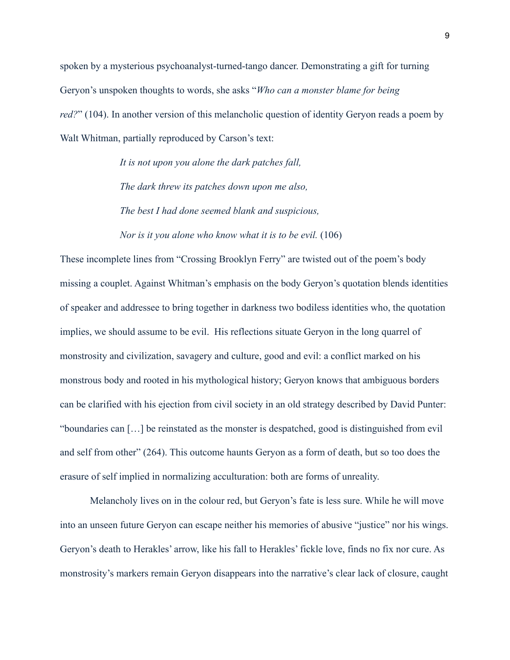spoken by a mysterious psychoanalyst-turned-tango dancer. Demonstrating a gift for turning Geryon's unspoken thoughts to words, she asks "*Who can a monster blame for being red?*" (104). In another version of this melancholic question of identity Geryon reads a poem by Walt Whitman, partially reproduced by Carson's text:

> *It is not upon you alone the dark patches fall, The dark threw its patches down upon me also, The best I had done seemed blank and suspicious, Nor is it you alone who know what it is to be evil.* (106)

These incomplete lines from "Crossing Brooklyn Ferry" are twisted out of the poem's body missing a couplet. Against Whitman's emphasis on the body Geryon's quotation blends identities of speaker and addressee to bring together in darkness two bodiless identities who, the quotation implies, we should assume to be evil. His reflections situate Geryon in the long quarrel of monstrosity and civilization, savagery and culture, good and evil: a conflict marked on his monstrous body and rooted in his mythological history; Geryon knows that ambiguous borders can be clarified with his ejection from civil society in an old strategy described by David Punter: "boundaries can […] be reinstated as the monster is despatched, good is distinguished from evil and self from other" (264). This outcome haunts Geryon as a form of death, but so too does the erasure of self implied in normalizing acculturation: both are forms of unreality.

 Melancholy lives on in the colour red, but Geryon's fate is less sure. While he will move into an unseen future Geryon can escape neither his memories of abusive "justice" nor his wings. Geryon's death to Herakles' arrow, like his fall to Herakles' fickle love, finds no fix nor cure. As monstrosity's markers remain Geryon disappears into the narrative's clear lack of closure, caught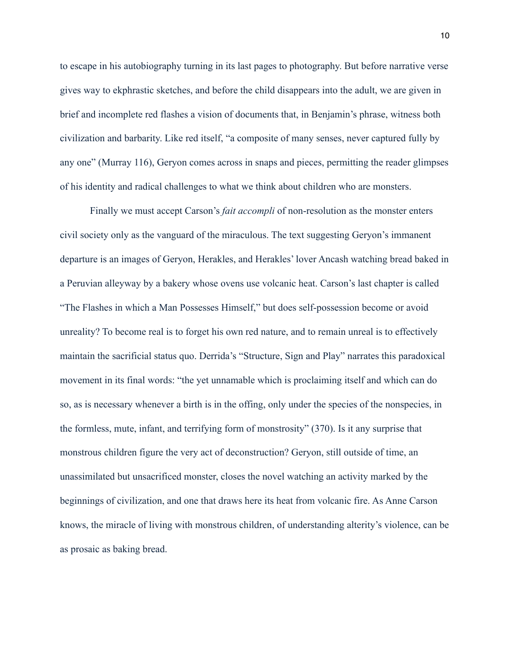to escape in his autobiography turning in its last pages to photography. But before narrative verse gives way to ekphrastic sketches, and before the child disappears into the adult, we are given in brief and incomplete red flashes a vision of documents that, in Benjamin's phrase, witness both civilization and barbarity. Like red itself, "a composite of many senses, never captured fully by any one" (Murray 116), Geryon comes across in snaps and pieces, permitting the reader glimpses of his identity and radical challenges to what we think about children who are monsters.

 Finally we must accept Carson's *fait accompli* of non-resolution as the monster enters civil society only as the vanguard of the miraculous. The text suggesting Geryon's immanent departure is an images of Geryon, Herakles, and Herakles' lover Ancash watching bread baked in a Peruvian alleyway by a bakery whose ovens use volcanic heat. Carson's last chapter is called "The Flashes in which a Man Possesses Himself," but does self-possession become or avoid unreality? To become real is to forget his own red nature, and to remain unreal is to effectively maintain the sacrificial status quo. Derrida's "Structure, Sign and Play" narrates this paradoxical movement in its final words: "the yet unnamable which is proclaiming itself and which can do so, as is necessary whenever a birth is in the offing, only under the species of the nonspecies, in the formless, mute, infant, and terrifying form of monstrosity" (370). Is it any surprise that monstrous children figure the very act of deconstruction? Geryon, still outside of time, an unassimilated but unsacrificed monster, closes the novel watching an activity marked by the beginnings of civilization, and one that draws here its heat from volcanic fire. As Anne Carson knows, the miracle of living with monstrous children, of understanding alterity's violence, can be as prosaic as baking bread.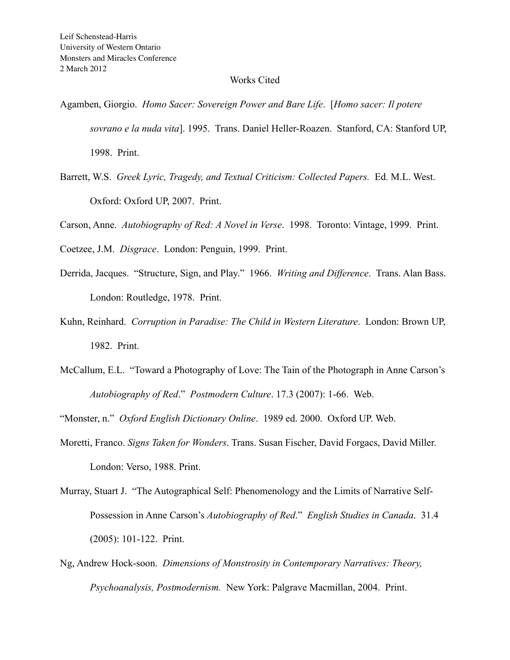## Works Cited

Agamben, Giorgio. *Homo Sacer: Sovereign Power and Bare Life*. [*Homo sacer: Il potere sovrano e la nuda vita*]. 1995. Trans. Daniel Heller-Roazen. Stanford, CA: Stanford UP, 1998. Print.

Barrett, W.S. *Greek Lyric, Tragedy, and Textual Criticism: Collected Papers. Ed. M.L. West.* Oxford: Oxford UP, 2007. Print.

Carson, Anne. *Autobiography of Red: A Novel in Verse*. 1998. Toronto: Vintage, 1999. Print.

Coetzee, J.M. *Disgrace*. London: Penguin, 1999. Print.

- Derrida, Jacques. "Structure, Sign, and Play." 1966. *Writing and Difference*. Trans. Alan Bass. London: Routledge, 1978. Print.
- Kuhn, Reinhard. *Corruption in Paradise: The Child in Western Literature*. London: Brown UP, 1982. Print.
- McCallum, E.L. "Toward a Photography of Love: The Tain of the Photograph in Anne Carson's *Autobiography of Red*." *Postmodern Culture*. 17.3 (2007): 1-66. Web.

"Monster, n." *Oxford English Dictionary Online*. 1989 ed. 2000. Oxford UP. Web.

- Moretti, Franco. *Signs Taken for Wonders*. Trans. Susan Fischer, David Forgacs, David Miller. London: Verso, 1988. Print.
- Murray, Stuart J. "The Autographical Self: Phenomenology and the Limits of Narrative Self-Possession in Anne Carson's *Autobiography of Red*." *English Studies in Canada*. 31.4 (2005): 101-122. Print.
- Ng, Andrew Hock-soon. *Dimensions of Monstrosity in Contemporary Narratives: Theory, Psychoanalysis, Postmodernism.* New York: Palgrave Macmillan, 2004. Print.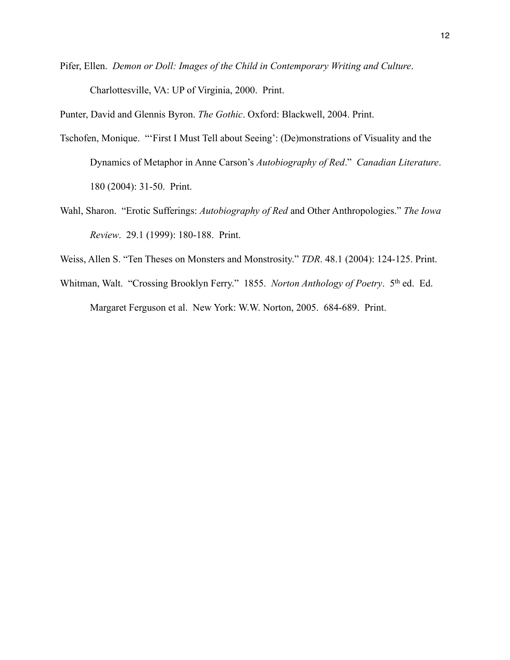Pifer, Ellen. *Demon or Doll: Images of the Child in Contemporary Writing and Culture*. Charlottesville, VA: UP of Virginia, 2000. Print.

Punter, David and Glennis Byron. *The Gothic*. Oxford: Blackwell, 2004. Print.

- Tschofen, Monique. "'First I Must Tell about Seeing': (De)monstrations of Visuality and the Dynamics of Metaphor in Anne Carson's *Autobiography of Red*." *Canadian Literature*. 180 (2004): 31-50. Print.
- Wahl, Sharon. "Erotic Sufferings: *Autobiography of Red* and Other Anthropologies." *The Iowa Review*. 29.1 (1999): 180-188. Print.
- Weiss, Allen S. "Ten Theses on Monsters and Monstrosity." *TDR*. 48.1 (2004): 124-125. Print.
- Whitman, Walt. "Crossing Brooklyn Ferry." 1855. *Norton Anthology of Poetry*. 5th ed. Ed. Margaret Ferguson et al. New York: W.W. Norton, 2005. 684-689. Print.